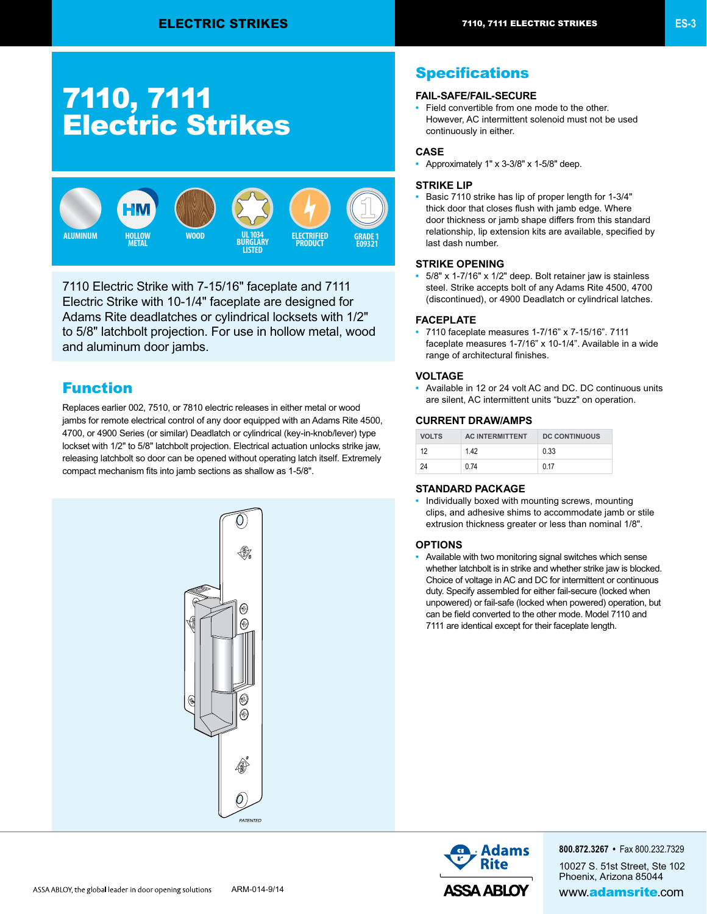# 7110, 7111 Electric Strikes



7110 Electric Strike with 7-15/16" faceplate and 7111 Electric Strike with 10-1/4" faceplate are designed for Adams Rite deadlatches or cylindrical locksets with 1/2" to 5/8" latchbolt projection. For use in hollow metal, wood and aluminum door jambs.

# Function

Replaces earlier 002, 7510, or 7810 electric releases in either metal or wood jambs for remote electrical control of any door equipped with an Adams Rite 4500, 4700, or 4900 Series (or similar) Deadlatch or cylindrical (key-in-knob/lever) type lockset with 1/2" to 5/8" latchbolt projection. Electrical actuation unlocks strike jaw, releasing latchbolt so door can be opened without operating latch itself. Extremely compact mechanism fits into jamb sections as shallow as 1-5/8".



# **Specifications**

#### **FAIL-SAFE/FAIL-SECURE**

**•** Field convertible from one mode to the other. However, AC intermittent solenoid must not be used continuously in either.

#### **CASE**

**•** Approximately 1" x 3-3/8" x 1-5/8" deep.

#### **STRIKE LIP**

**•** Basic 7110 strike has lip of proper length for 1-3/4" thick door that closes flush with jamb edge. Where door thickness or jamb shape differs from this standard relationship, lip extension kits are available, specified by last dash number.

#### **STRIKE OPENING**

**•** 5/8" x 1-7/16" x 1/2" deep. Bolt retainer jaw is stainless steel. Strike accepts bolt of any Adams Rite 4500, 4700 (discontinued), or 4900 Deadlatch or cylindrical latches.

#### **FACEPLATE**

**•** 7110 faceplate measures 1-7/16" x 7-15/16". 7111 faceplate measures 1-7/16" x 10-1/4". Available in a wide range of architectural finishes.

#### **VOLTAGE**

**•** Available in 12 or 24 volt AC and DC. DC continuous units are silent, AC intermittent units "buzz" on operation.

#### **CURRENT DRAW/AMPS**

| <b>VOLTS</b> | <b>AC INTERMITTENT</b> | <b>DC CONTINUOUS</b> |
|--------------|------------------------|----------------------|
| 12           | 142                    | 0.33                 |
| 24           | 0 74                   | 0.17                 |

### **STANDARD PACKAGE**

**•** Individually boxed with mounting screws, mounting clips, and adhesive shims to accommodate jamb or stile extrusion thickness greater or less than nominal 1/8".

#### **OPTIONS**

**•** Available with two monitoring signal switches which sense whether latchbolt is in strike and whether strike jaw is blocked. Choice of voltage in AC and DC for intermittent or continuous duty. Specify assembled for either fail-secure (locked when unpowered) or fail-safe (locked when powered) operation, but can be field converted to the other mode. Model 7110 and 7111 are identical except for their faceplate length.



**800.872.3267 •** Fax 800.232.7329 10027 S. 51st Street, Ste 102 Phoenix, Arizona 85044 ARM-014-9/14 **ARM-014-9/14 ARM-014-9/14 ARM-014-9/14**